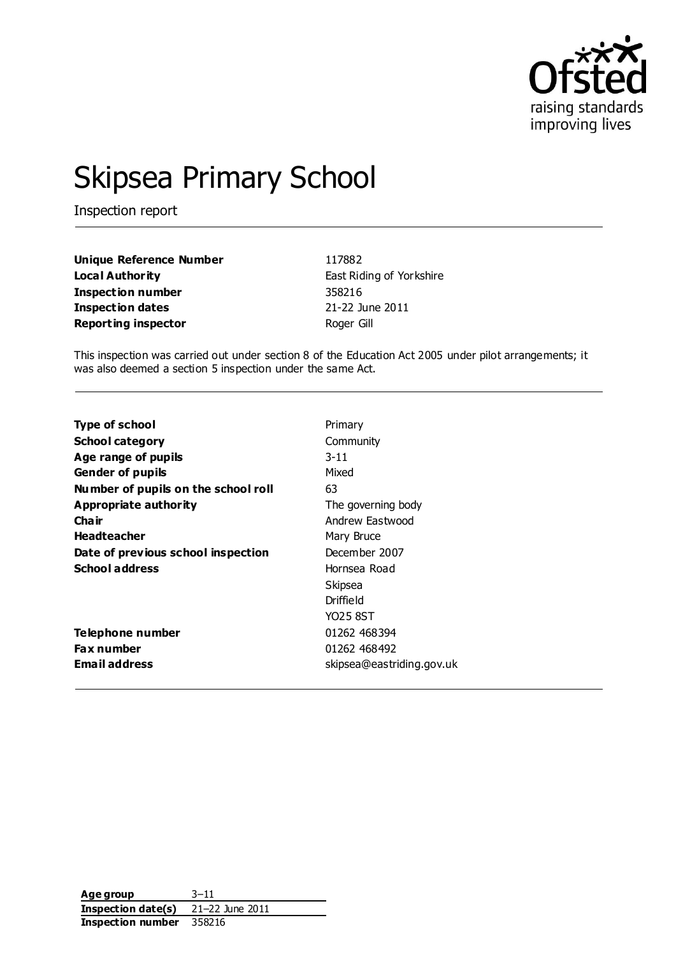

# Skipsea Primary School

Inspection report

| <b>Unique Reference Number</b> | 117882                   |
|--------------------------------|--------------------------|
| Local Authority                | East Riding of Yorkshire |
| <b>Inspection number</b>       | 358216                   |
| <b>Inspection dates</b>        | 21-22 June 2011          |
| <b>Reporting inspector</b>     | Roger Gill               |

This inspection was carried out under section 8 of the Education Act 2005 under pilot arrangements; it was also deemed a section 5 inspection under the same Act.

| <b>Type of school</b>               | Primary                   |
|-------------------------------------|---------------------------|
| <b>School category</b>              | Community                 |
| Age range of pupils                 | $3 - 11$                  |
| <b>Gender of pupils</b>             | Mixed                     |
| Number of pupils on the school roll | 63                        |
| Appropriate authority               | The governing body        |
| Cha ir                              | Andrew Fastwood           |
| <b>Headteacher</b>                  | Mary Bruce                |
| Date of previous school inspection  | December 2007             |
| <b>School address</b>               | Hornsea Road              |
|                                     | Skipsea                   |
|                                     | Driffield                 |
|                                     | YO25 8ST                  |
| Telephone number                    | 01262 468394              |
| <b>Fax number</b>                   | 01262 468492              |
| <b>Email address</b>                | skipsea@eastriding.gov.uk |

**Age group** 3–11 **Inspection date(s)** 21–22 June 2011 **Inspection number** 358216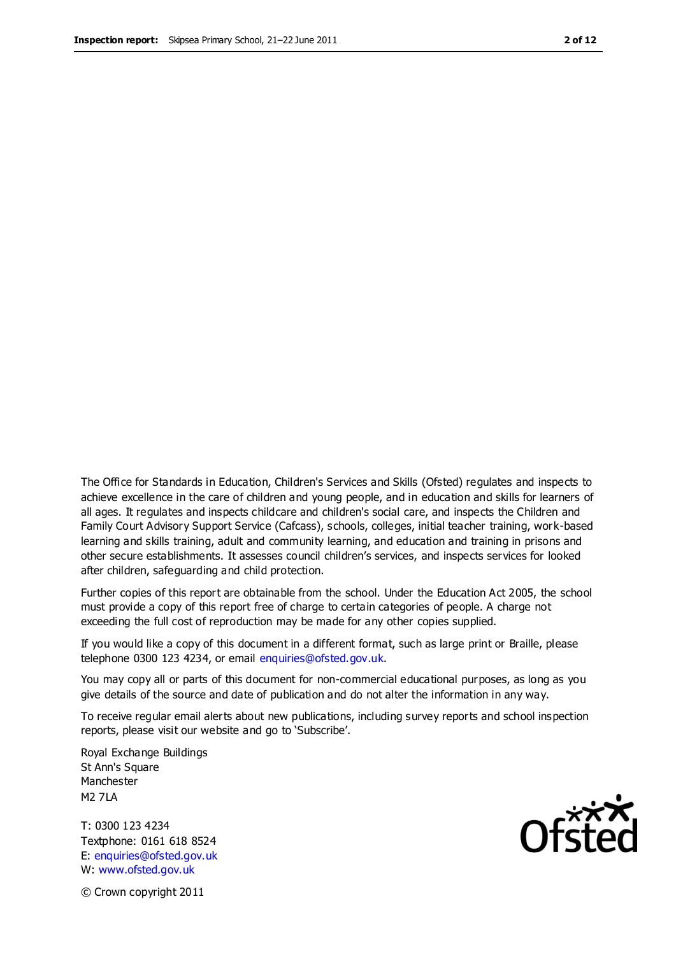The Office for Standards in Education, Children's Services and Skills (Ofsted) regulates and inspects to achieve excellence in the care of children and young people, and in education and skills for learners of all ages. It regulates and inspects childcare and children's social care, and inspects the Children and Family Court Advisory Support Service (Cafcass), schools, colleges, initial teacher training, work-based learning and skills training, adult and community learning, and education and training in prisons and other secure establishments. It assesses council children's services, and inspects services for looked after children, safeguarding and child protection.

Further copies of this report are obtainable from the school. Under the Education Act 2005, the school must provide a copy of this report free of charge to certain categories of people. A charge not exceeding the full cost of reproduction may be made for any other copies supplied.

If you would like a copy of this document in a different format, such as large print or Braille, please telephone 0300 123 4234, or email enquiries@ofsted.gov.uk.

You may copy all or parts of this document for non-commercial educational purposes, as long as you give details of the source and date of publication and do not alter the information in any way.

To receive regular email alerts about new publications, including survey reports and school inspection reports, please visit our website and go to 'Subscribe'.

Royal Exchange Buildings St Ann's Square Manchester M2 7LA

T: 0300 123 4234 Textphone: 0161 618 8524 E: enquiries@ofsted.gov.uk W: www.ofsted.gov.uk

Ofsted

© Crown copyright 2011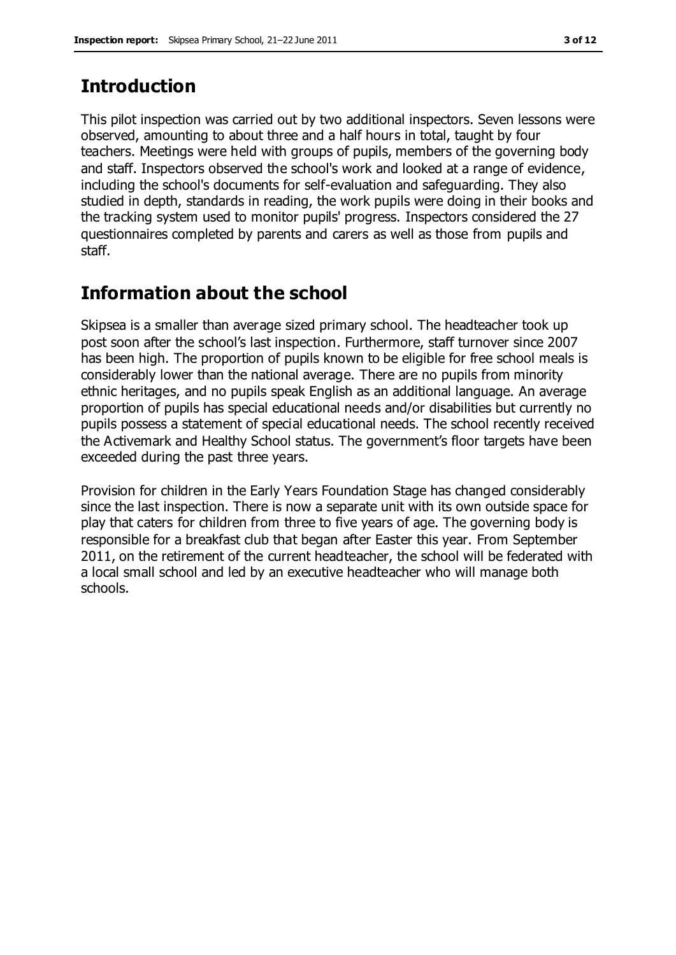### **Introduction**

This pilot inspection was carried out by two additional inspectors. Seven lessons were observed, amounting to about three and a half hours in total, taught by four teachers. Meetings were held with groups of pupils, members of the governing body and staff. Inspectors observed the school's work and looked at a range of evidence, including the school's documents for self-evaluation and safeguarding. They also studied in depth, standards in reading, the work pupils were doing in their books and the tracking system used to monitor pupils' progress. Inspectors considered the 27 questionnaires completed by parents and carers as well as those from pupils and staff.

### **Information about the school**

Skipsea is a smaller than average sized primary school. The headteacher took up post soon after the school's last inspection. Furthermore, staff turnover since 2007 has been high. The proportion of pupils known to be eligible for free school meals is considerably lower than the national average. There are no pupils from minority ethnic heritages, and no pupils speak English as an additional language. An average proportion of pupils has special educational needs and/or disabilities but currently no pupils possess a statement of special educational needs. The school recently received the Activemark and Healthy School status. The government's floor targets have been exceeded during the past three years.

Provision for children in the Early Years Foundation Stage has changed considerably since the last inspection. There is now a separate unit with its own outside space for play that caters for children from three to five years of age. The governing body is responsible for a breakfast club that began after Easter this year. From September 2011, on the retirement of the current headteacher, the school will be federated with a local small school and led by an executive headteacher who will manage both schools.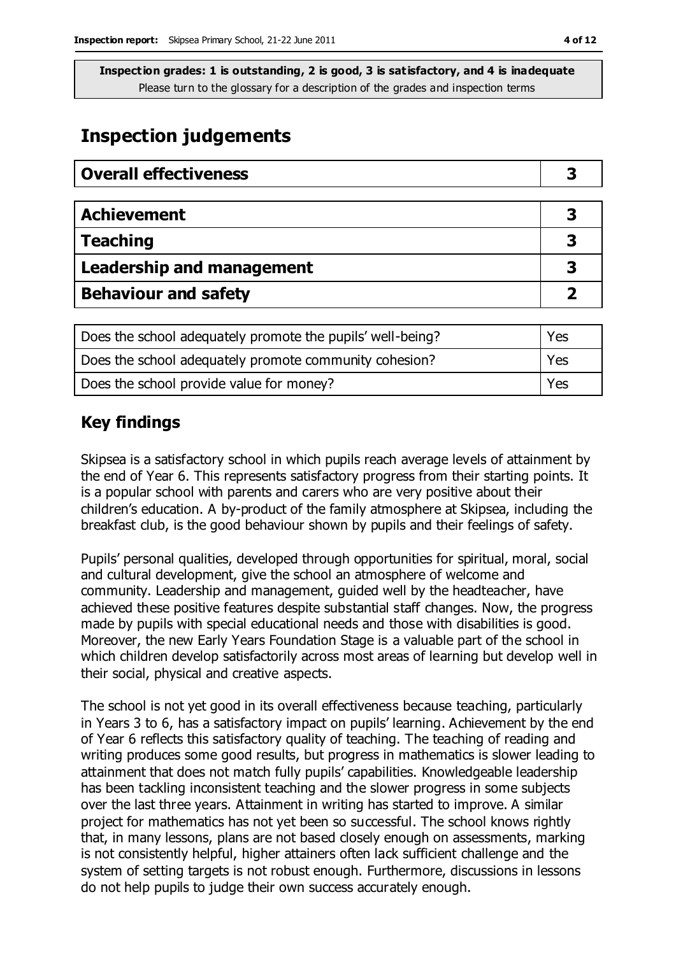### **Inspection judgements**

| <b>Overall effectiveness</b>     |   |
|----------------------------------|---|
|                                  |   |
| <b>Achievement</b>               | 3 |
| <b>Teaching</b>                  |   |
| <b>Leadership and management</b> |   |
| <b>Behaviour and safety</b>      |   |

| Does the school adequately promote the pupils' well-being? | Yes |
|------------------------------------------------------------|-----|
| Does the school adequately promote community cohesion?     | Yes |
| Does the school provide value for money?                   | Yes |

### **Key findings**

Skipsea is a satisfactory school in which pupils reach average levels of attainment by the end of Year 6. This represents satisfactory progress from their starting points. It is a popular school with parents and carers who are very positive about their children's education. A by-product of the family atmosphere at Skipsea, including the breakfast club, is the good behaviour shown by pupils and their feelings of safety.

Pupils' personal qualities, developed through opportunities for spiritual, moral, social and cultural development, give the school an atmosphere of welcome and community. Leadership and management, guided well by the headteacher, have achieved these positive features despite substantial staff changes. Now, the progress made by pupils with special educational needs and those with disabilities is good. Moreover, the new Early Years Foundation Stage is a valuable part of the school in which children develop satisfactorily across most areas of learning but develop well in their social, physical and creative aspects.

The school is not yet good in its overall effectiveness because teaching, particularly in Years 3 to 6, has a satisfactory impact on pupils' learning. Achievement by the end of Year 6 reflects this satisfactory quality of teaching. The teaching of reading and writing produces some good results, but progress in mathematics is slower leading to attainment that does not match fully pupils' capabilities. Knowledgeable leadership has been tackling inconsistent teaching and the slower progress in some subjects over the last three years. Attainment in writing has started to improve. A similar project for mathematics has not yet been so successful. The school knows rightly that, in many lessons, plans are not based closely enough on assessments, marking is not consistently helpful, higher attainers often lack sufficient challenge and the system of setting targets is not robust enough. Furthermore, discussions in lessons do not help pupils to judge their own success accurately enough.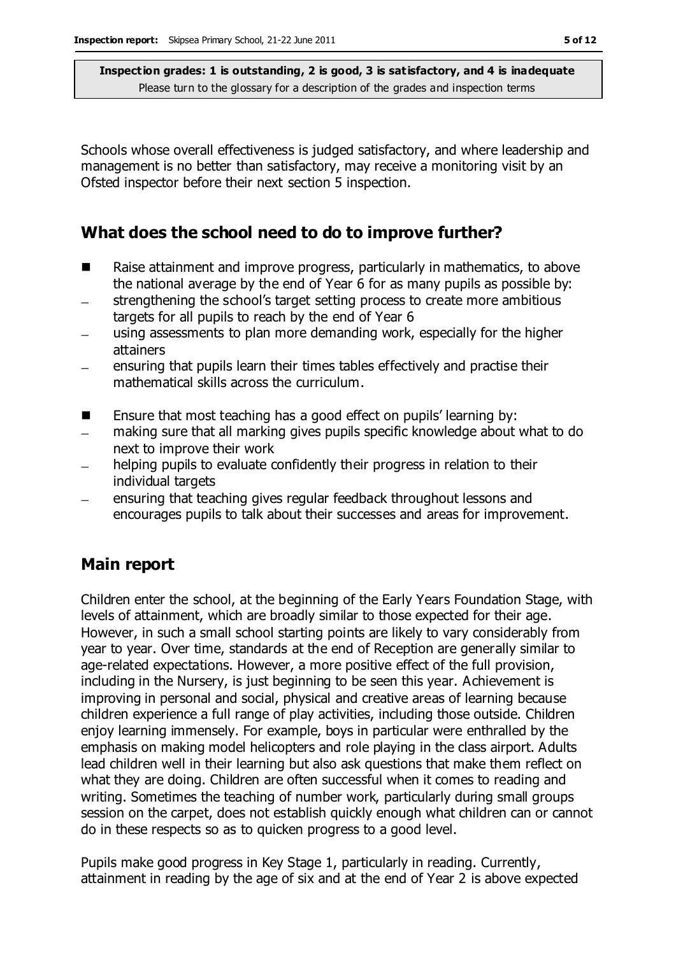Schools whose overall effectiveness is judged satisfactory, and where leadership and management is no better than satisfactory, may receive a monitoring visit by an Ofsted inspector before their next section 5 inspection.

### **What does the school need to do to improve further?**

- Raise attainment and improve progress, particularly in mathematics, to above the national average by the end of Year 6 for as many pupils as possible by:
- strengthening the school's target setting process to create more ambitious  $\overline{\phantom{0}}$ targets for all pupils to reach by the end of Year 6
- using assessments to plan more demanding work, especially for the higher attainers
- ensuring that pupils learn their times tables effectively and practise their mathematical skills across the curriculum.
- Ensure that most teaching has a good effect on pupils' learning by:
- making sure that all marking gives pupils specific knowledge about what to do next to improve their work
- helping pupils to evaluate confidently their progress in relation to their individual targets
- ensuring that teaching gives regular feedback throughout lessons and encourages pupils to talk about their successes and areas for improvement.

### **Main report**

Children enter the school, at the beginning of the Early Years Foundation Stage, with levels of attainment, which are broadly similar to those expected for their age. However, in such a small school starting points are likely to vary considerably from year to year. Over time, standards at the end of Reception are generally similar to age-related expectations. However, a more positive effect of the full provision, including in the Nursery, is just beginning to be seen this year. Achievement is improving in personal and social, physical and creative areas of learning because children experience a full range of play activities, including those outside. Children enjoy learning immensely. For example, boys in particular were enthralled by the emphasis on making model helicopters and role playing in the class airport. Adults lead children well in their learning but also ask questions that make them reflect on what they are doing. Children are often successful when it comes to reading and writing. Sometimes the teaching of number work, particularly during small groups session on the carpet, does not establish quickly enough what children can or cannot do in these respects so as to quicken progress to a good level.

Pupils make good progress in Key Stage 1, particularly in reading. Currently, attainment in reading by the age of six and at the end of Year 2 is above expected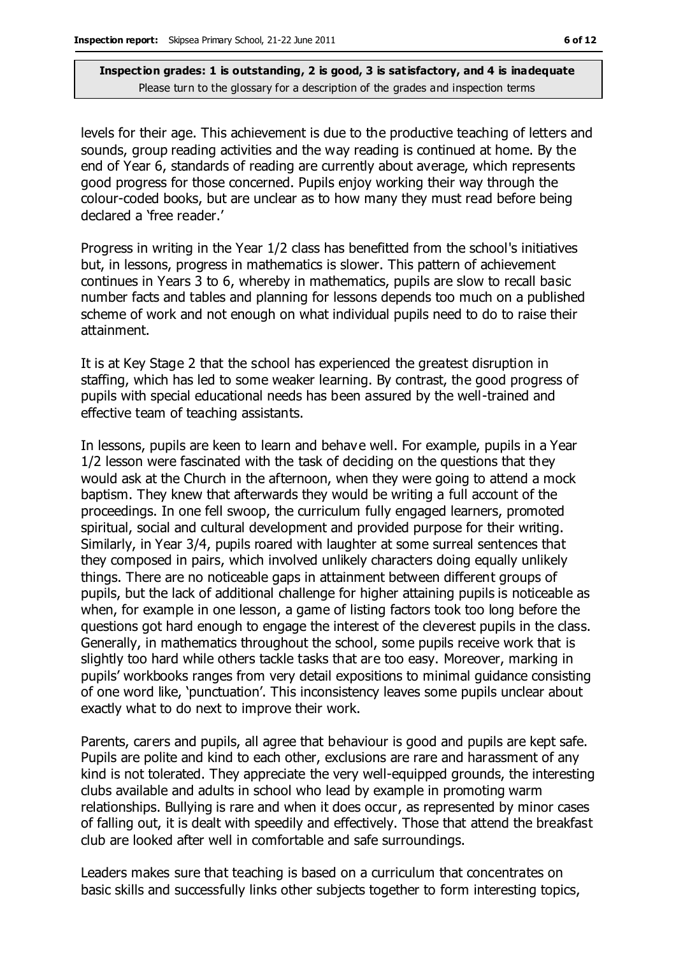levels for their age. This achievement is due to the productive teaching of letters and sounds, group reading activities and the way reading is continued at home. By the end of Year 6, standards of reading are currently about average, which represents good progress for those concerned. Pupils enjoy working their way through the colour-coded books, but are unclear as to how many they must read before being declared a 'free reader.'

Progress in writing in the Year 1/2 class has benefitted from the school's initiatives but, in lessons, progress in mathematics is slower. This pattern of achievement continues in Years 3 to 6, whereby in mathematics, pupils are slow to recall basic number facts and tables and planning for lessons depends too much on a published scheme of work and not enough on what individual pupils need to do to raise their attainment.

It is at Key Stage 2 that the school has experienced the greatest disruption in staffing, which has led to some weaker learning. By contrast, the good progress of pupils with special educational needs has been assured by the well-trained and effective team of teaching assistants.

In lessons, pupils are keen to learn and behave well. For example, pupils in a Year 1/2 lesson were fascinated with the task of deciding on the questions that they would ask at the Church in the afternoon, when they were going to attend a mock baptism. They knew that afterwards they would be writing a full account of the proceedings. In one fell swoop, the curriculum fully engaged learners, promoted spiritual, social and cultural development and provided purpose for their writing. Similarly, in Year 3/4, pupils roared with laughter at some surreal sentences that they composed in pairs, which involved unlikely characters doing equally unlikely things. There are no noticeable gaps in attainment between different groups of pupils, but the lack of additional challenge for higher attaining pupils is noticeable as when, for example in one lesson, a game of listing factors took too long before the questions got hard enough to engage the interest of the cleverest pupils in the class. Generally, in mathematics throughout the school, some pupils receive work that is slightly too hard while others tackle tasks that are too easy. Moreover, marking in pupils' workbooks ranges from very detail expositions to minimal guidance consisting of one word like, 'punctuation'. This inconsistency leaves some pupils unclear about exactly what to do next to improve their work.

Parents, carers and pupils, all agree that behaviour is good and pupils are kept safe. Pupils are polite and kind to each other, exclusions are rare and harassment of any kind is not tolerated. They appreciate the very well-equipped grounds, the interesting clubs available and adults in school who lead by example in promoting warm relationships. Bullying is rare and when it does occur, as represented by minor cases of falling out, it is dealt with speedily and effectively. Those that attend the breakfast club are looked after well in comfortable and safe surroundings.

Leaders makes sure that teaching is based on a curriculum that concentrates on basic skills and successfully links other subjects together to form interesting topics,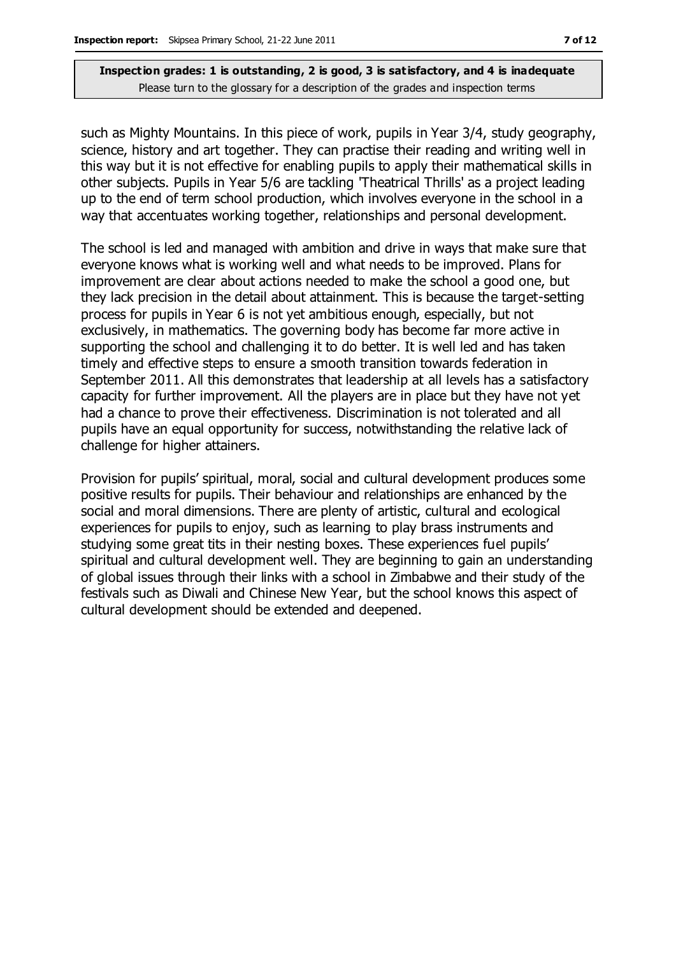such as Mighty Mountains. In this piece of work, pupils in Year 3/4, study geography, science, history and art together. They can practise their reading and writing well in this way but it is not effective for enabling pupils to apply their mathematical skills in other subjects. Pupils in Year 5/6 are tackling 'Theatrical Thrills' as a project leading up to the end of term school production, which involves everyone in the school in a way that accentuates working together, relationships and personal development.

The school is led and managed with ambition and drive in ways that make sure that everyone knows what is working well and what needs to be improved. Plans for improvement are clear about actions needed to make the school a good one, but they lack precision in the detail about attainment. This is because the target-setting process for pupils in Year 6 is not yet ambitious enough, especially, but not exclusively, in mathematics. The governing body has become far more active in supporting the school and challenging it to do better. It is well led and has taken timely and effective steps to ensure a smooth transition towards federation in September 2011. All this demonstrates that leadership at all levels has a satisfactory capacity for further improvement. All the players are in place but they have not yet had a chance to prove their effectiveness. Discrimination is not tolerated and all pupils have an equal opportunity for success, notwithstanding the relative lack of challenge for higher attainers.

Provision for pupils' spiritual, moral, social and cultural development produces some positive results for pupils. Their behaviour and relationships are enhanced by the social and moral dimensions. There are plenty of artistic, cultural and ecological experiences for pupils to enjoy, such as learning to play brass instruments and studying some great tits in their nesting boxes. These experiences fuel pupils' spiritual and cultural development well. They are beginning to gain an understanding of global issues through their links with a school in Zimbabwe and their study of the festivals such as Diwali and Chinese New Year, but the school knows this aspect of cultural development should be extended and deepened.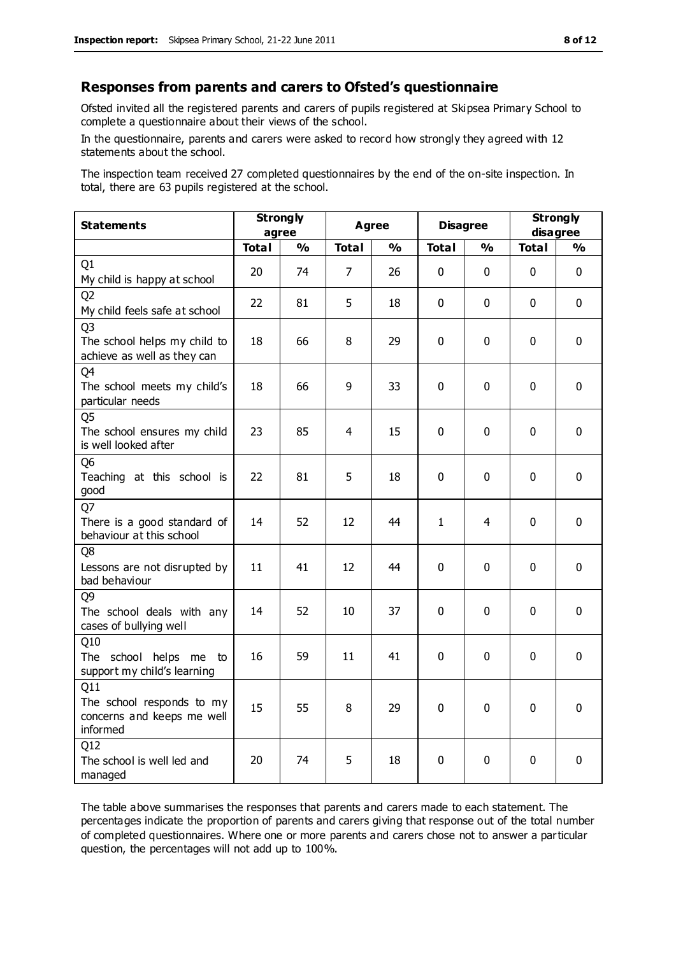#### **Responses from parents and carers to Ofsted's questionnaire**

Ofsted invited all the registered parents and carers of pupils registered at Skipsea Primary School to complete a questionnaire about their views of the school.

In the questionnaire, parents and carers were asked to record how strongly they agreed with 12 statements about the school.

The inspection team received 27 completed questionnaires by the end of the on-site inspection. In total, there are 63 pupils registered at the school.

| <b>Statements</b>                                                             | <b>Strongly</b><br>agree |                         | <b>Agree</b>   |               | <b>Disagree</b> |               | <b>Strongly</b><br>disagree |             |
|-------------------------------------------------------------------------------|--------------------------|-------------------------|----------------|---------------|-----------------|---------------|-----------------------------|-------------|
|                                                                               | <b>Total</b>             | $\mathbf{O}/\mathbf{o}$ | <b>Total</b>   | $\frac{1}{2}$ | <b>Total</b>    | $\frac{0}{0}$ | <b>Total</b>                | %           |
| Q1<br>My child is happy at school                                             | 20                       | 74                      | $\overline{7}$ | 26            | 0               | $\mathbf{0}$  | $\mathbf 0$                 | $\mathbf 0$ |
| Q <sub>2</sub><br>My child feels safe at school                               | 22                       | 81                      | 5              | 18            | 0               | 0             | 0                           | $\mathbf 0$ |
| Q <sub>3</sub><br>The school helps my child to<br>achieve as well as they can | 18                       | 66                      | 8              | 29            | 0               | $\mathbf 0$   | 0                           | $\mathbf 0$ |
| Q4<br>The school meets my child's<br>particular needs                         | 18                       | 66                      | 9              | 33            | 0               | $\mathbf 0$   | $\mathbf 0$                 | $\mathbf 0$ |
| Q <sub>5</sub><br>The school ensures my child<br>is well looked after         | 23                       | 85                      | 4              | 15            | 0               | $\mathbf{0}$  | $\mathbf{0}$                | $\mathbf 0$ |
| Q <sub>6</sub><br>Teaching at this school is<br>good                          | 22                       | 81                      | 5              | 18            | $\mathbf 0$     | $\mathbf 0$   | $\mathbf 0$                 | $\mathbf 0$ |
| Q7<br>There is a good standard of<br>behaviour at this school                 | 14                       | 52                      | 12             | 44            | $\mathbf{1}$    | 4             | $\mathbf 0$                 | $\mathbf 0$ |
| Q8<br>Lessons are not disrupted by<br>bad behaviour                           | 11                       | 41                      | 12             | 44            | 0               | $\mathbf 0$   | $\mathbf{0}$                | $\mathbf 0$ |
| Q <sub>9</sub><br>The school deals with any<br>cases of bullying well         | 14                       | 52                      | 10             | 37            | 0               | 0             | $\Omega$                    | $\mathbf 0$ |
| Q10<br>The school helps me to<br>support my child's learning                  | 16                       | 59                      | 11             | 41            | 0               | $\mathbf{0}$  | $\mathbf{0}$                | $\mathbf 0$ |
| Q11<br>The school responds to my<br>concerns and keeps me well<br>informed    | 15                       | 55                      | 8              | 29            | $\mathbf 0$     | $\mathbf 0$   | $\mathbf{0}$                | $\mathbf 0$ |
| Q12<br>The school is well led and<br>managed                                  | 20                       | 74                      | 5              | 18            | $\mathbf 0$     | $\mathbf 0$   | 0                           | $\mathbf 0$ |

The table above summarises the responses that parents and carers made to each statement. The percentages indicate the proportion of parents and carers giving that response out of the total number of completed questionnaires. Where one or more parents and carers chose not to answer a particular question, the percentages will not add up to 100%.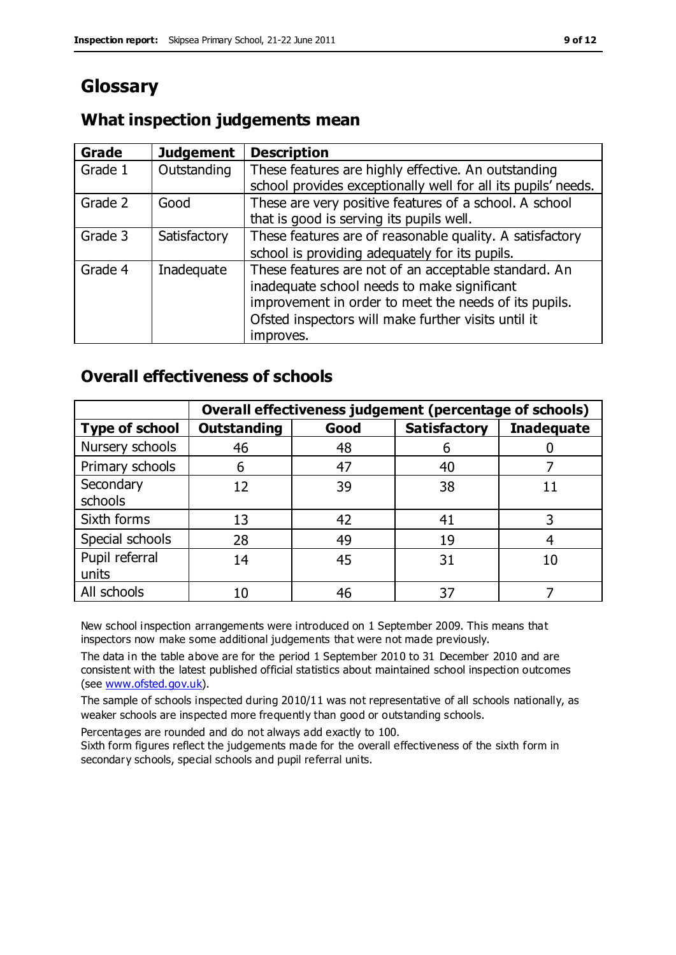## **Glossary**

### **What inspection judgements mean**

| Grade   | <b>Judgement</b> | <b>Description</b>                                                                                                                                                                                                               |
|---------|------------------|----------------------------------------------------------------------------------------------------------------------------------------------------------------------------------------------------------------------------------|
| Grade 1 | Outstanding      | These features are highly effective. An outstanding<br>school provides exceptionally well for all its pupils' needs.                                                                                                             |
| Grade 2 | Good             | These are very positive features of a school. A school<br>that is good is serving its pupils well.                                                                                                                               |
| Grade 3 | Satisfactory     | These features are of reasonable quality. A satisfactory<br>school is providing adequately for its pupils.                                                                                                                       |
| Grade 4 | Inadequate       | These features are not of an acceptable standard. An<br>inadequate school needs to make significant<br>improvement in order to meet the needs of its pupils.<br>Ofsted inspectors will make further visits until it<br>improves. |

### **Overall effectiveness of schools**

|                         | Overall effectiveness judgement (percentage of schools) |      |                     |                   |
|-------------------------|---------------------------------------------------------|------|---------------------|-------------------|
| <b>Type of school</b>   | <b>Outstanding</b>                                      | Good | <b>Satisfactory</b> | <b>Inadequate</b> |
| Nursery schools         | 46                                                      | 48   | 6                   |                   |
| Primary schools         | 6                                                       | 47   | 40                  |                   |
| Secondary<br>schools    | 12                                                      | 39   | 38                  |                   |
| Sixth forms             | 13                                                      | 42   | 41                  |                   |
| Special schools         | 28                                                      | 49   | 19                  |                   |
| Pupil referral<br>units | 14                                                      | 45   | 31                  |                   |
| All schools             | 10                                                      | 46   | 37                  |                   |

New school inspection arrangements were introduced on 1 September 2009. This means that inspectors now make some additional judgements that were not made previously.

The data in the table above are for the period 1 September 2010 to 31 December 2010 and are consistent with the latest published official statistics about maintained school inspection outcomes (see [www.ofsted.gov.uk\)](http://www.ofsted.gov.uk/).

The sample of schools inspected during 2010/11 was not representative of all schools nationally, as weaker schools are inspected more frequently than good or outstanding schools.

Percentages are rounded and do not always add exactly to 100.

Sixth form figures reflect the judgements made for the overall effectiveness of the sixth form in secondary schools, special schools and pupil referral units.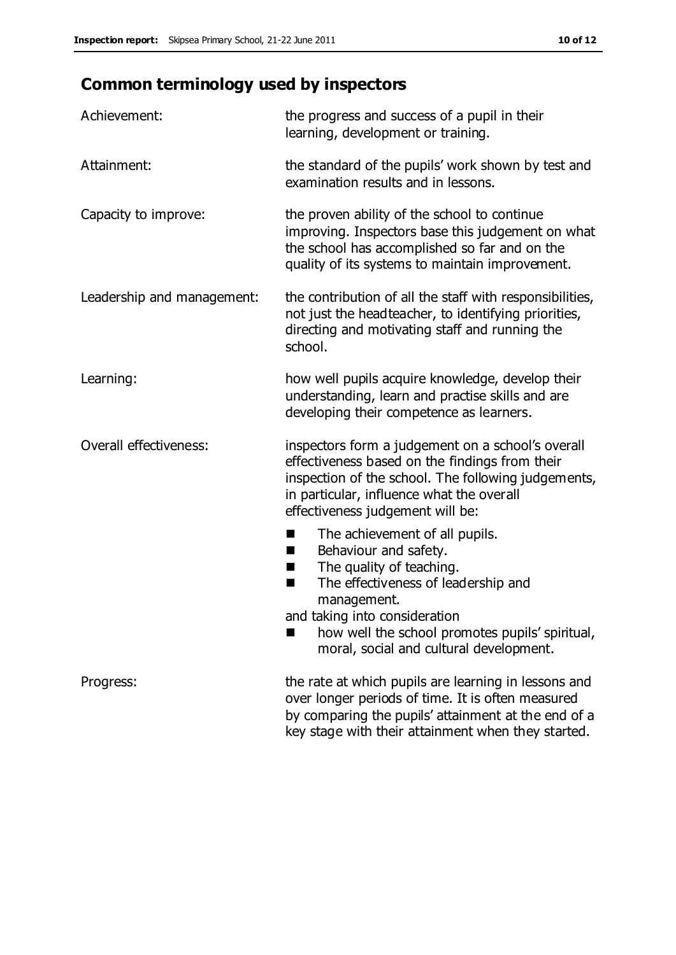# **Common terminology used by inspectors**

| Achievement:               | the progress and success of a pupil in their<br>learning, development or training.                                                                                                                                                          |
|----------------------------|---------------------------------------------------------------------------------------------------------------------------------------------------------------------------------------------------------------------------------------------|
| Attainment:                | the standard of the pupils' work shown by test and<br>examination results and in lessons.                                                                                                                                                   |
| Capacity to improve:       | the proven ability of the school to continue<br>improving. Inspectors base this judgement on what<br>the school has accomplished so far and on the<br>quality of its systems to maintain improvement.                                       |
| Leadership and management: | the contribution of all the staff with responsibilities,<br>not just the headteacher, to identifying priorities,<br>directing and motivating staff and running the<br>school.                                                               |
| Learning:                  | how well pupils acquire knowledge, develop their<br>understanding, learn and practise skills and are<br>developing their competence as learners.                                                                                            |
| Overall effectiveness:     | inspectors form a judgement on a school's overall<br>effectiveness based on the findings from their<br>inspection of the school. The following judgements,<br>in particular, influence what the overall<br>effectiveness judgement will be: |
|                            | The achievement of all pupils.<br>■<br>Behaviour and safety.<br>ш<br>The quality of teaching.<br>H<br>The effectiveness of leadership and<br>п<br>management.<br>and taking into consideration                                              |
|                            | how well the school promotes pupils' spiritual,<br>moral, social and cultural development.                                                                                                                                                  |
| Progress:                  | the rate at which pupils are learning in lessons and<br>over longer periods of time. It is often measured<br>by comparing the pupils' attainment at the end of a                                                                            |

key stage with their attainment when they started.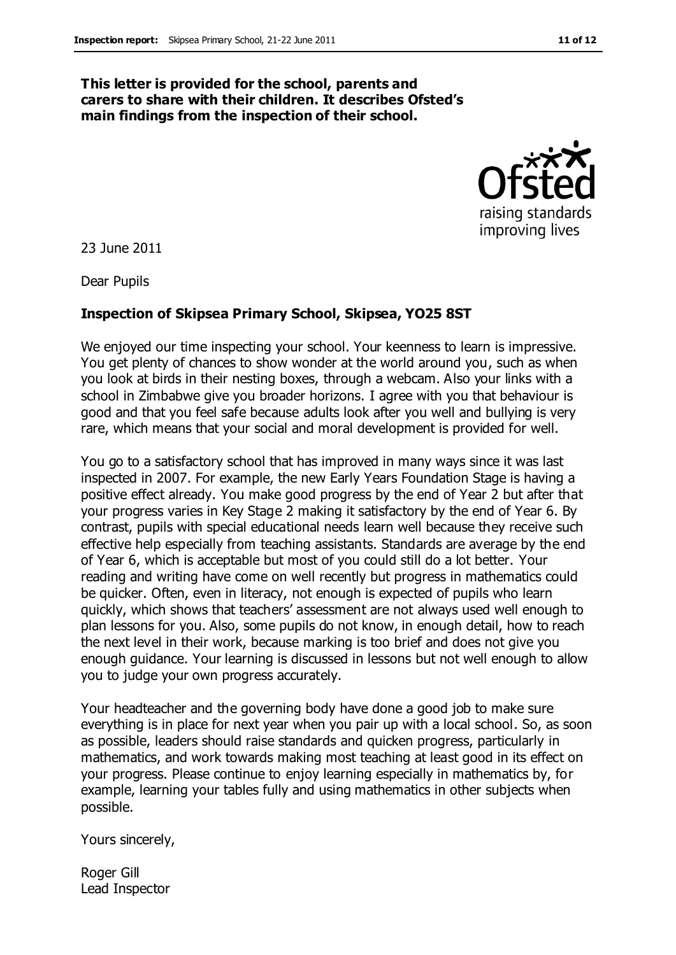#### **This letter is provided for the school, parents and carers to share with their children. It describes Ofsted's main findings from the inspection of their school.**



23 June 2011

Dear Pupils

#### **Inspection of Skipsea Primary School, Skipsea, YO25 8ST**

We enjoyed our time inspecting your school. Your keenness to learn is impressive. You get plenty of chances to show wonder at the world around you, such as when you look at birds in their nesting boxes, through a webcam. Also your links with a school in Zimbabwe give you broader horizons. I agree with you that behaviour is good and that you feel safe because adults look after you well and bullying is very rare, which means that your social and moral development is provided for well.

You go to a satisfactory school that has improved in many ways since it was last inspected in 2007. For example, the new Early Years Foundation Stage is having a positive effect already. You make good progress by the end of Year 2 but after that your progress varies in Key Stage 2 making it satisfactory by the end of Year 6. By contrast, pupils with special educational needs learn well because they receive such effective help especially from teaching assistants. Standards are average by the end of Year 6, which is acceptable but most of you could still do a lot better. Your reading and writing have come on well recently but progress in mathematics could be quicker. Often, even in literacy, not enough is expected of pupils who learn quickly, which shows that teachers' assessment are not always used well enough to plan lessons for you. Also, some pupils do not know, in enough detail, how to reach the next level in their work, because marking is too brief and does not give you enough guidance. Your learning is discussed in lessons but not well enough to allow you to judge your own progress accurately.

Your headteacher and the governing body have done a good job to make sure everything is in place for next year when you pair up with a local school. So, as soon as possible, leaders should raise standards and quicken progress, particularly in mathematics, and work towards making most teaching at least good in its effect on your progress. Please continue to enjoy learning especially in mathematics by, for example, learning your tables fully and using mathematics in other subjects when possible.

Yours sincerely,

Roger Gill Lead Inspector